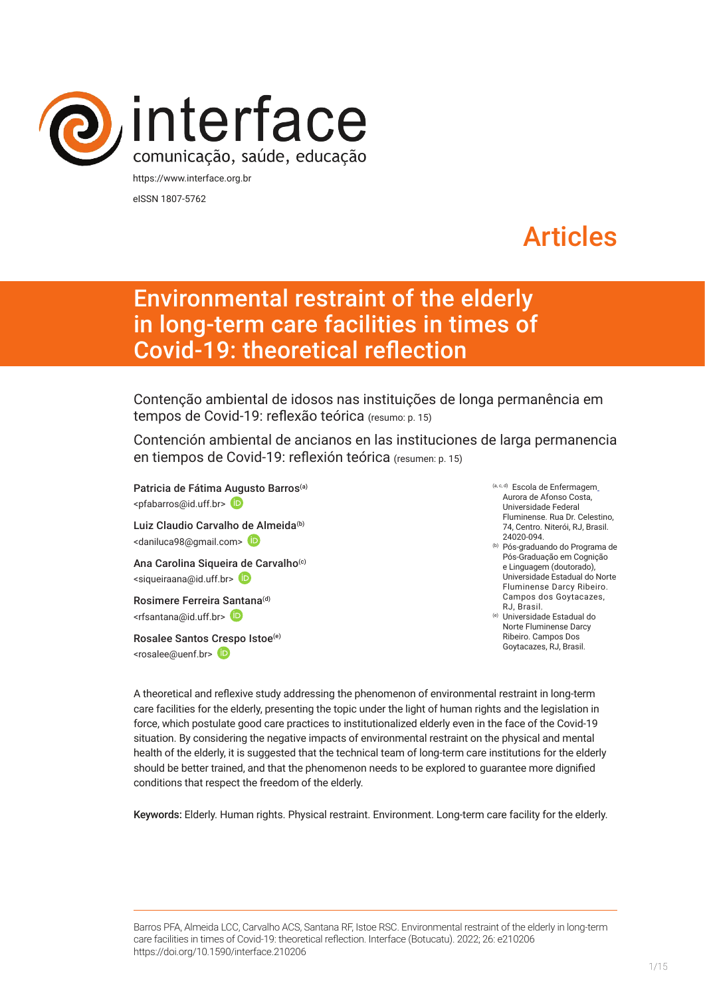

eISSN 1807-5762

# Articles

# Environmental restraint of the elderly in long-term care facilities in times of Covid-19: theoretical reflection

Contenção ambiental de idosos nas instituições de longa permanência em tempos de Covid-19: reflexão teórica (resumo: p. 15)

Contención ambiental de ancianos en las instituciones de larga permanencia en tiempos de Covid-19: reflexión teórica (resumen: p. 15)

Patricia de Fátima [Augu](https://orcid.org/0000-0003-4713-7576)sto Barros<sup>(a)</sup> <pfabarros@id.uff.br>

Luiz Claudio Carvalho [de A](https://orcid.org/0000-0002-9604-0474)lmeida<sup>(b)</sup> <daniluca98@gmail.com>

Ana Carolina Siqueira de Carvalho<sup>(c)</sup> <siqueiraana@id.uff.br>

Rosimere Ferreira [Santa](https://orcid.org/0000-0002-4593-3715)na<sup>(d)</sup> <rfsantana@id.uff.br>

Rosalee Santos [Cres](https://orcid.org/0000-0001-8959-9280)po Istoe(e) <rosalee@uenf.br>

- (a, c, d) Escola de Enfermagem Aurora de Afonso Costa, Universidade Federal Fluminense. Rua Dr. Celestino, 74, Centro. Niterói, RJ, Brasil. 24020-094.
- (b) Pós-graduando do Programa de Pós-Graduação em Cognição e Linguagem (doutorado), Universidade Estadual do Norte Fluminense Darcy Ribeiro. Campos dos Goytacazes, RJ, Brasil.
- (e) Universidade Estadual do Norte Fluminense Darcy Ribeiro. Campos Dos Goytacazes, RJ, Brasil.

A theoretical and reflexive study addressing the phenomenon of environmental restraint in long-term care facilities for the elderly, presenting the topic under the light of human rights and the legislation in force, which postulate good care practices to institutionalized elderly even in the face of the Covid-19 situation. By considering the negative impacts of environmental restraint on the physical and mental health of the elderly, it is suggested that the technical team of long-term care institutions for the elderly should be better trained, and that the phenomenon needs to be explored to guarantee more dignified conditions that respect the freedom of the elderly.

Keywords: Elderly. Human rights. Physical restraint. Environment. Long-term care facility for the elderly.

Barros PFA, Almeida LCC, Carvalho ACS, Santana RF, Istoe RSC. Environmental restraint of the elderly in long-term care facilities in times of Covid-19: theoretical reflection. Interface (Botucatu). 2022; 26: e210206 [https://](https://10.11606/S1518-787.201805200XXXX)doi.org/10.1590/interface.210206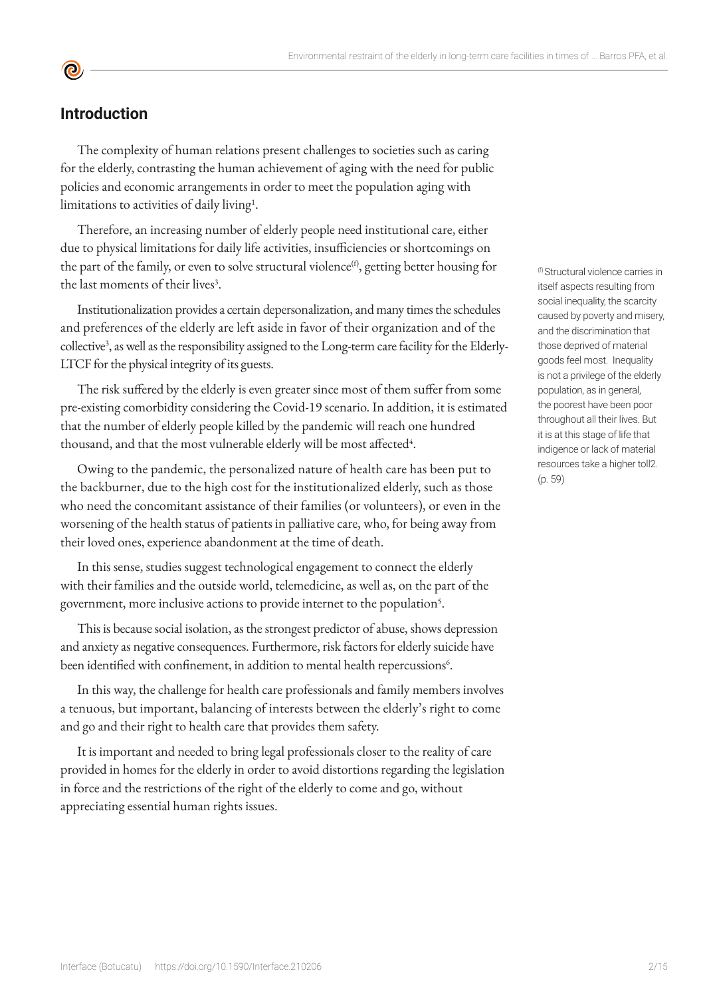## **Introduction**

**©** 

The complexity of human relations present challenges to societies such as caring for the elderly, contrasting the human achievement of aging with the need for public policies and economic arrangements in order to meet the population aging with limitations to activities of daily living<sup>1</sup>.

Therefore, an increasing number of elderly people need institutional care, either due to physical limitations for daily life activities, insufficiencies or shortcomings on the part of the family, or even to solve structural violence $f^{(f)}$ , getting better housing for the last moments of their lives<sup>3</sup>.

Institutionalization provides a certain depersonalization, and many times the schedules and preferences of the elderly are left aside in favor of their organization and of the collective3 , as well as the responsibility assigned to the Long-term care facility for the Elderly-LTCF for the physical integrity of its guests.

The risk suffered by the elderly is even greater since most of them suffer from some pre-existing comorbidity considering the Covid-19 scenario. In addition, it is estimated that the number of elderly people killed by the pandemic will reach one hundred thousand, and that the most vulnerable elderly will be most affected $^4$ .

Owing to the pandemic, the personalized nature of health care has been put to the backburner, due to the high cost for the institutionalized elderly, such as those who need the concomitant assistance of their families (or volunteers), or even in the worsening of the health status of patients in palliative care, who, for being away from their loved ones, experience abandonment at the time of death.

In this sense, studies suggest technological engagement to connect the elderly with their families and the outside world, telemedicine, as well as, on the part of the government, more inclusive actions to provide internet to the population<sup>5</sup>.

This is because social isolation, as the strongest predictor of abuse, shows depression and anxiety as negative consequences. Furthermore, risk factors for elderly suicide have been identified with confinement, in addition to mental health repercussions<sup>6</sup>.

In this way, the challenge for health care professionals and family members involves a tenuous, but important, balancing of interests between the elderly's right to come and go and their right to health care that provides them safety.

It is important and needed to bring legal professionals closer to the reality of care provided in homes for the elderly in order to avoid distortions regarding the legislation in force and the restrictions of the right of the elderly to come and go, without appreciating essential human rights issues.

(f) Structural violence carries in itself aspects resulting from social inequality, the scarcity caused by poverty and misery, and the discrimination that those deprived of material goods feel most. Inequality is not a privilege of the elderly population, as in general, the poorest have been poor throughout all their lives. But it is at this stage of life that indigence or lack of material resources take a higher toll2. (p. 59)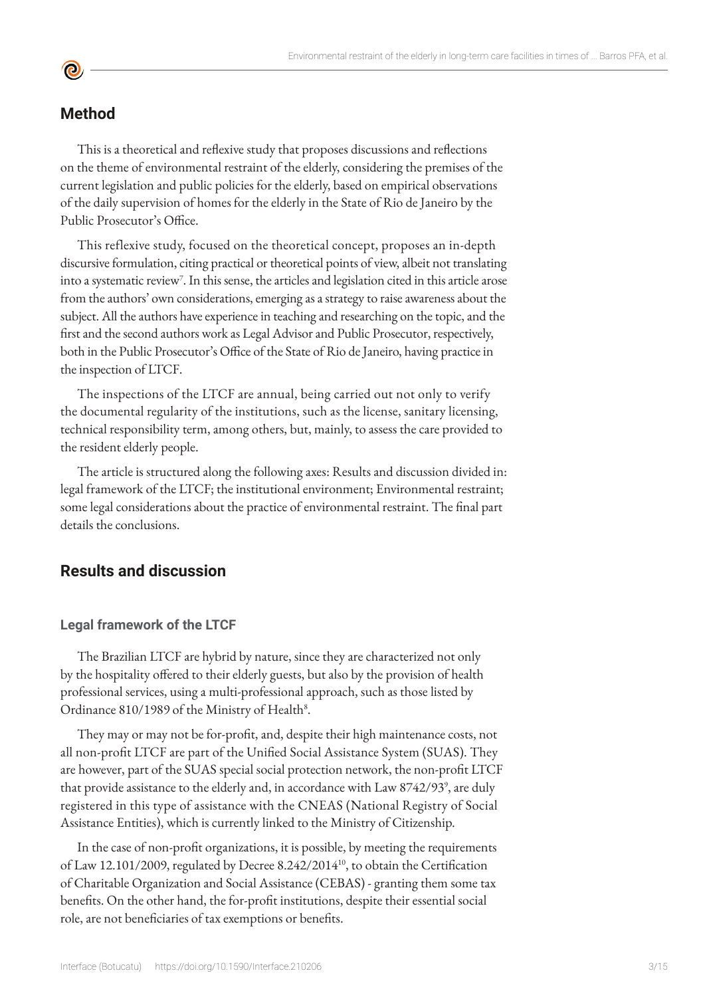# **Method**

**©** 

This is a theoretical and reflexive study that proposes discussions and reflections on the theme of environmental restraint of the elderly, considering the premises of the current legislation and public policies for the elderly, based on empirical observations of the daily supervision of homes for the elderly in the State of Rio de Janeiro by the Public Prosecutor's Office.

This reflexive study, focused on the theoretical concept, proposes an in-depth discursive formulation, citing practical or theoretical points of view, albeit not translating into a systematic review<sup>7</sup>. In this sense, the articles and legislation cited in this article arose from the authors' own considerations, emerging as a strategy to raise awareness about the subject. All the authors have experience in teaching and researching on the topic, and the first and the second authors work as Legal Advisor and Public Prosecutor, respectively, both in the Public Prosecutor's Office of the State of Rio de Janeiro, having practice in the inspection of LTCF.

The inspections of the LTCF are annual, being carried out not only to verify the documental regularity of the institutions, such as the license, sanitary licensing, technical responsibility term, among others, but, mainly, to assess the care provided to the resident elderly people.

The article is structured along the following axes: Results and discussion divided in: legal framework of the LTCF; the institutional environment; Environmental restraint; some legal considerations about the practice of environmental restraint. The final part details the conclusions.

# **Results and discussion**

#### **Legal framework of the LTCF**

The Brazilian LTCF are hybrid by nature, since they are characterized not only by the hospitality offered to their elderly guests, but also by the provision of health professional services, using a multi-professional approach, such as those listed by Ordinance 810/1989 of the Ministry of Health<sup>8</sup>.

They may or may not be for-profit, and, despite their high maintenance costs, not all non-profit LTCF are part of the Unified Social Assistance System (SUAS). They are however, part of the SUAS special social protection network, the non-profit LTCF that provide assistance to the elderly and, in accordance with Law 8742/93<sup>9</sup>, are duly registered in this type of assistance with the CNEAS (National Registry of Social Assistance Entities), which is currently linked to the Ministry of Citizenship.

In the case of non-profit organizations, it is possible, by meeting the requirements of Law 12.101/2009, regulated by Decree 8.242/2014<sup>10</sup>, to obtain the Certification of Charitable Organization and Social Assistance (CEBAS) - granting them some tax benefits. On the other hand, the for-profit institutions, despite their essential social role, are not beneficiaries of tax exemptions or benefits.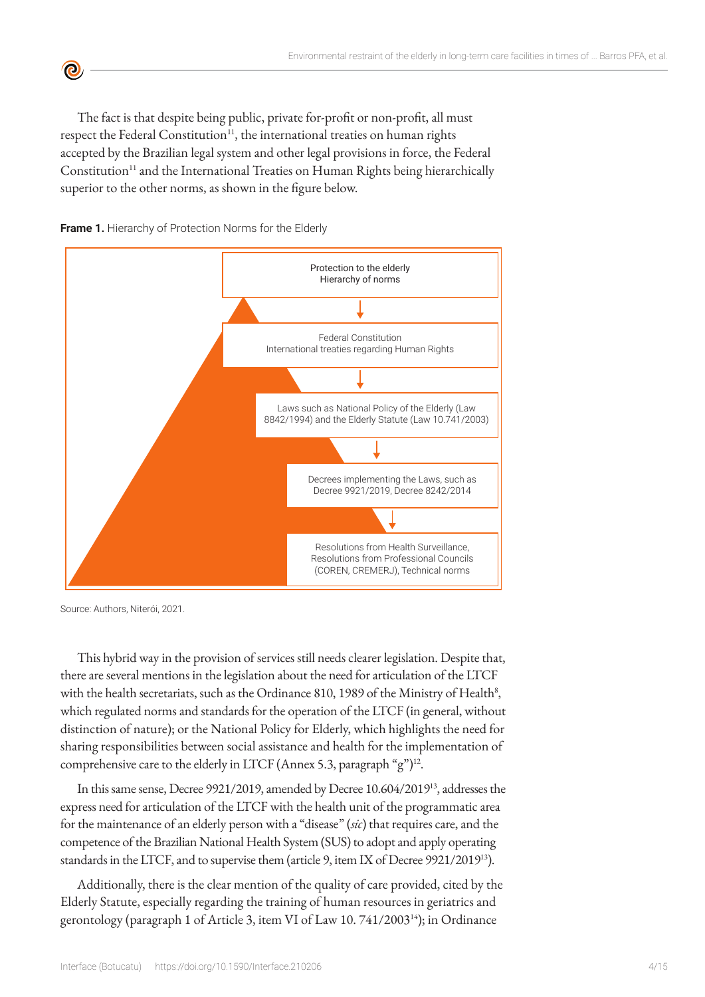The fact is that despite being public, private for-profit or non-profit, all must respect the Federal Constitution<sup>11</sup>, the international treaties on human rights accepted by the Brazilian legal system and other legal provisions in force, the Federal Constitution<sup>11</sup> and the International Treaties on Human Rights being hierarchically superior to the other norms, as shown in the figure below.



 $\mathbf{C}$ 



Source: Authors, Niterói, 2021.

This hybrid way in the provision of services still needs clearer legislation. Despite that, there are several mentions in the legislation about the need for articulation of the LTCF with the health secretariats, such as the Ordinance 810, 1989 of the Ministry of Health $^8$ , which regulated norms and standards for the operation of the LTCF (in general, without distinction of nature); or the National Policy for Elderly, which highlights the need for sharing responsibilities between social assistance and health for the implementation of comprehensive care to the elderly in LTCF (Annex 5.3, paragraph "g")<sup>12</sup>.

In this same sense, Decree 9921/2019, amended by Decree 10.604/201913, addresses the express need for articulation of the LTCF with the health unit of the programmatic area for the maintenance of an elderly person with a "disease" (*sic*) that requires care, and the competence of the Brazilian National Health System (SUS) to adopt and apply operating standards in the LTCF, and to supervise them (article 9, item IX of Decree 9921/201913).

Additionally, there is the clear mention of the quality of care provided, cited by the Elderly Statute, especially regarding the training of human resources in geriatrics and gerontology (paragraph 1 of Article 3, item VI of Law 10. 741/200314); in Ordinance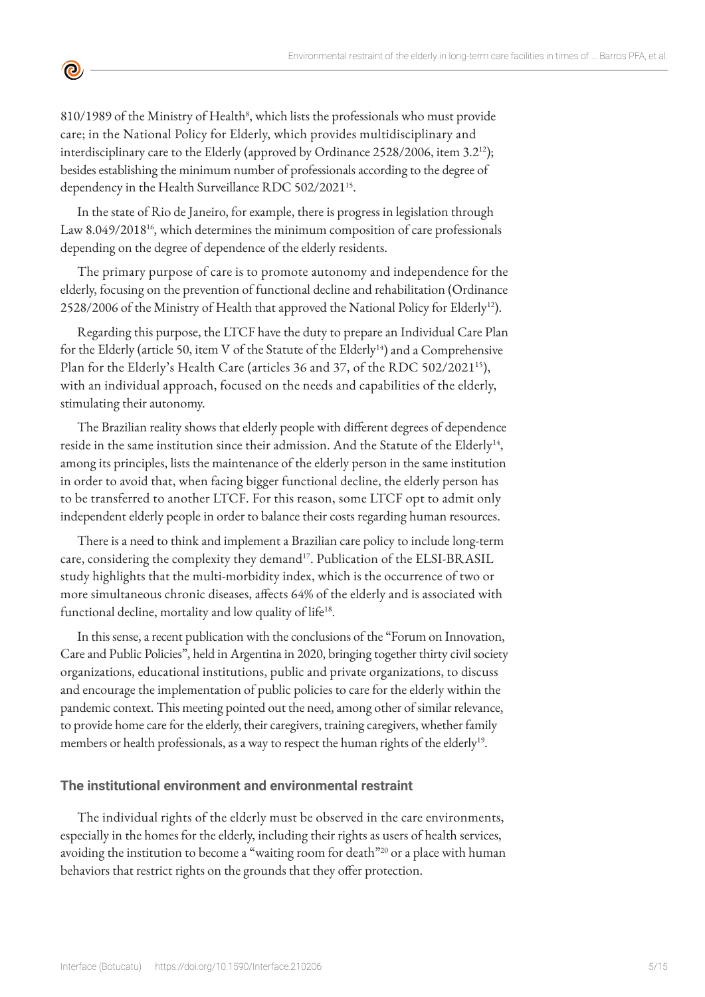810/1989 of the Ministry of Health<sup>8</sup>, which lists the professionals who must provide care; in the National Policy for Elderly, which provides multidisciplinary and interdisciplinary care to the Elderly (approved by Ordinance 2528/2006, item 3.212); besides establishing the minimum number of professionals according to the degree of dependency in the Health Surveillance RDC 502/2021<sup>15</sup>.

<u>ල</u>

In the state of Rio de Janeiro, for example, there is progress in legislation through Law 8.049/2018<sup>16</sup>, which determines the minimum composition of care professionals depending on the degree of dependence of the elderly residents.

The primary purpose of care is to promote autonomy and independence for the elderly, focusing on the prevention of functional decline and rehabilitation (Ordinance 2528/2006 of the Ministry of Health that approved the National Policy for Elderly<sup>12</sup>).

Regarding this purpose, the LTCF have the duty to prepare an Individual Care Plan for the Elderly (article 50, item V of the Statute of the Elderly<sup>14</sup>) and a Comprehensive Plan for the Elderly's Health Care (articles 36 and 37, of the RDC 502/2021<sup>15</sup>), with an individual approach, focused on the needs and capabilities of the elderly, stimulating their autonomy.

The Brazilian reality shows that elderly people with different degrees of dependence reside in the same institution since their admission. And the Statute of the Elderly<sup>14</sup>, among its principles, lists the maintenance of the elderly person in the same institution in order to avoid that, when facing bigger functional decline, the elderly person has to be transferred to another LTCF. For this reason, some LTCF opt to admit only independent elderly people in order to balance their costs regarding human resources.

There is a need to think and implement a Brazilian care policy to include long-term care, considering the complexity they demand<sup>17</sup>. Publication of the ELSI-BRASIL study highlights that the multi-morbidity index, which is the occurrence of two or more simultaneous chronic diseases, affects 64% of the elderly and is associated with functional decline, mortality and low quality of life<sup>18</sup>.

In this sense, a recent publication with the conclusions of the "Forum on Innovation, Care and Public Policies", held in Argentina in 2020, bringing together thirty civil society organizations, educational institutions, public and private organizations, to discuss and encourage the implementation of public policies to care for the elderly within the pandemic context. This meeting pointed out the need, among other of similar relevance, to provide home care for the elderly, their caregivers, training caregivers, whether family members or health professionals, as a way to respect the human rights of the elderly<sup>19</sup>.

#### **The institutional environment and environmental restraint**

The individual rights of the elderly must be observed in the care environments, especially in the homes for the elderly, including their rights as users of health services, avoiding the institution to become a "waiting room for death"<sup>20</sup> or a place with human behaviors that restrict rights on the grounds that they offer protection.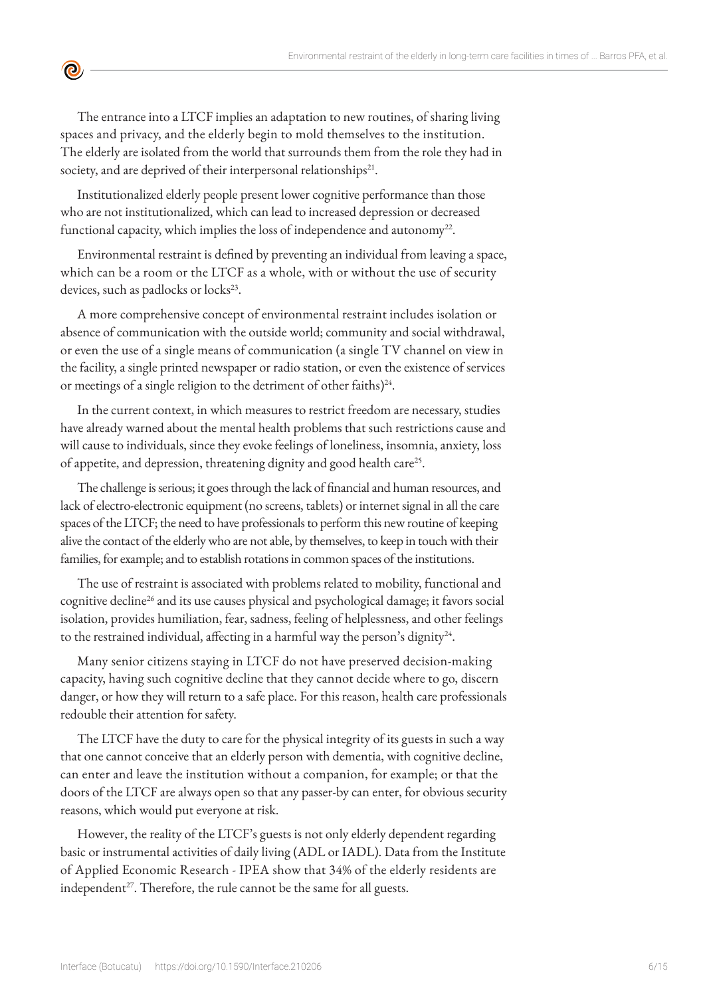The entrance into a LTCF implies an adaptation to new routines, of sharing living spaces and privacy, and the elderly begin to mold themselves to the institution. The elderly are isolated from the world that surrounds them from the role they had in society, and are deprived of their interpersonal relationships<sup>21</sup>.

<u>ල</u>

Institutionalized elderly people present lower cognitive performance than those who are not institutionalized, which can lead to increased depression or decreased functional capacity, which implies the loss of independence and autonomy<sup>22</sup>.

Environmental restraint is defined by preventing an individual from leaving a space, which can be a room or the LTCF as a whole, with or without the use of security devices, such as padlocks or locks<sup>23</sup>.

A more comprehensive concept of environmental restraint includes isolation or absence of communication with the outside world; community and social withdrawal, or even the use of a single means of communication (a single TV channel on view in the facility, a single printed newspaper or radio station, or even the existence of services or meetings of a single religion to the detriment of other faiths)<sup>24</sup>.

In the current context, in which measures to restrict freedom are necessary, studies have already warned about the mental health problems that such restrictions cause and will cause to individuals, since they evoke feelings of loneliness, insomnia, anxiety, loss of appetite, and depression, threatening dignity and good health care<sup>25</sup>.

The challenge is serious; it goes through the lack of financial and human resources, and lack of electro-electronic equipment (no screens, tablets) or internet signal in all the care spaces of the LTCF; the need to have professionals to perform this new routine of keeping alive the contact of the elderly who are not able, by themselves, to keep in touch with their families, for example; and to establish rotations in common spaces of the institutions.

The use of restraint is associated with problems related to mobility, functional and cognitive decline26 and its use causes physical and psychological damage; it favors social isolation, provides humiliation, fear, sadness, feeling of helplessness, and other feelings to the restrained individual, affecting in a harmful way the person's dignity<sup>24</sup>.

Many senior citizens staying in LTCF do not have preserved decision-making capacity, having such cognitive decline that they cannot decide where to go, discern danger, or how they will return to a safe place. For this reason, health care professionals redouble their attention for safety.

The LTCF have the duty to care for the physical integrity of its guests in such a way that one cannot conceive that an elderly person with dementia, with cognitive decline, can enter and leave the institution without a companion, for example; or that the doors of the LTCF are always open so that any passer-by can enter, for obvious security reasons, which would put everyone at risk.

However, the reality of the LTCF's guests is not only elderly dependent regarding basic or instrumental activities of daily living (ADL or IADL). Data from the Institute of Applied Economic Research - IPEA show that 34% of the elderly residents are independent<sup>27</sup>. Therefore, the rule cannot be the same for all guests.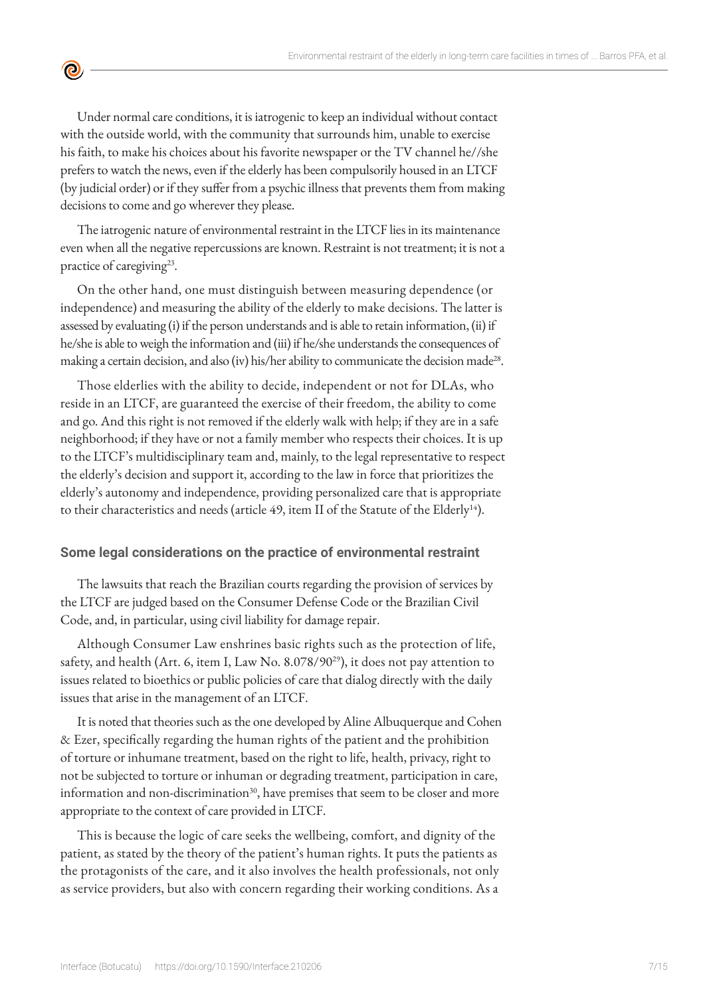

Under normal care conditions, it is iatrogenic to keep an individual without contact with the outside world, with the community that surrounds him, unable to exercise his faith, to make his choices about his favorite newspaper or the TV channel he//she prefers to watch the news, even if the elderly has been compulsorily housed in an LTCF (by judicial order) or if they suffer from a psychic illness that prevents them from making decisions to come and go wherever they please.

The iatrogenic nature of environmental restraint in the LTCF lies in its maintenance even when all the negative repercussions are known. Restraint is not treatment; it is not a practice of caregiving<sup>23</sup>.

On the other hand, one must distinguish between measuring dependence (or independence) and measuring the ability of the elderly to make decisions. The latter is assessed by evaluating (i) if the person understands and is able to retain information, (ii) if he/she is able to weigh the information and (iii) if he/she understands the consequences of making a certain decision, and also (iv) his/her ability to communicate the decision made<sup>28</sup>.

Those elderlies with the ability to decide, independent or not for DLAs, who reside in an LTCF, are guaranteed the exercise of their freedom, the ability to come and go. And this right is not removed if the elderly walk with help; if they are in a safe neighborhood; if they have or not a family member who respects their choices. It is up to the LTCF's multidisciplinary team and, mainly, to the legal representative to respect the elderly's decision and support it, according to the law in force that prioritizes the elderly's autonomy and independence, providing personalized care that is appropriate to their characteristics and needs (article 49, item II of the Statute of the Elderly<sup>14</sup>).

#### **Some legal considerations on the practice of environmental restraint**

The lawsuits that reach the Brazilian courts regarding the provision of services by the LTCF are judged based on the Consumer Defense Code or the Brazilian Civil Code, and, in particular, using civil liability for damage repair.

Although Consumer Law enshrines basic rights such as the protection of life, safety, and health (Art. 6, item I, Law No. 8.078/90<sup>29</sup>), it does not pay attention to issues related to bioethics or public policies of care that dialog directly with the daily issues that arise in the management of an LTCF.

It is noted that theories such as the one developed by Aline Albuquerque and Cohen & Ezer, specifically regarding the human rights of the patient and the prohibition of torture or inhumane treatment, based on the right to life, health, privacy, right to not be subjected to torture or inhuman or degrading treatment, participation in care, information and non-discrimination $^{30}$ , have premises that seem to be closer and more appropriate to the context of care provided in LTCF.

This is because the logic of care seeks the wellbeing, comfort, and dignity of the patient, as stated by the theory of the patient's human rights. It puts the patients as the protagonists of the care, and it also involves the health professionals, not only as service providers, but also with concern regarding their working conditions. As a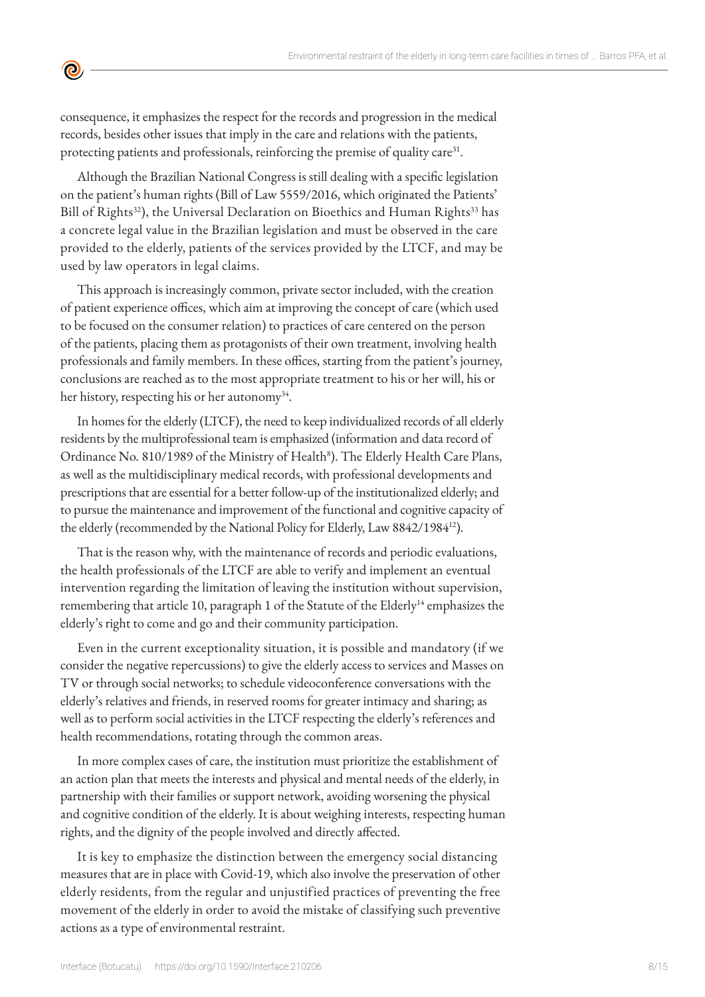consequence, it emphasizes the respect for the records and progression in the medical records, besides other issues that imply in the care and relations with the patients, protecting patients and professionals, reinforcing the premise of quality care<sup>31</sup>.

 $\bullet$ 

Although the Brazilian National Congress is still dealing with a specific legislation on the patient's human rights (Bill of Law 5559/2016, which originated the Patients' Bill of Rights<sup>32</sup>), the Universal Declaration on Bioethics and Human Rights<sup>33</sup> has a concrete legal value in the Brazilian legislation and must be observed in the care provided to the elderly, patients of the services provided by the LTCF, and may be used by law operators in legal claims.

This approach is increasingly common, private sector included, with the creation of patient experience offices, which aim at improving the concept of care (which used to be focused on the consumer relation) to practices of care centered on the person of the patients, placing them as protagonists of their own treatment, involving health professionals and family members. In these offices, starting from the patient's journey, conclusions are reached as to the most appropriate treatment to his or her will, his or her history, respecting his or her autonomy<sup>34</sup>.

In homes for the elderly (LTCF), the need to keep individualized records of all elderly residents by the multiprofessional team is emphasized (information and data record of Ordinance No. 810/1989 of the Ministry of Health<sup>8</sup>). The Elderly Health Care Plans, as well as the multidisciplinary medical records, with professional developments and prescriptions that are essential for a better follow-up of the institutionalized elderly; and to pursue the maintenance and improvement of the functional and cognitive capacity of the elderly (recommended by the National Policy for Elderly, Law 8842/198412).

That is the reason why, with the maintenance of records and periodic evaluations, the health professionals of the LTCF are able to verify and implement an eventual intervention regarding the limitation of leaving the institution without supervision, remembering that article 10, paragraph 1 of the Statute of the Elderly<sup>14</sup> emphasizes the elderly's right to come and go and their community participation.

Even in the current exceptionality situation, it is possible and mandatory (if we consider the negative repercussions) to give the elderly access to services and Masses on TV or through social networks; to schedule videoconference conversations with the elderly's relatives and friends, in reserved rooms for greater intimacy and sharing; as well as to perform social activities in the LTCF respecting the elderly's references and health recommendations, rotating through the common areas.

In more complex cases of care, the institution must prioritize the establishment of an action plan that meets the interests and physical and mental needs of the elderly, in partnership with their families or support network, avoiding worsening the physical and cognitive condition of the elderly. It is about weighing interests, respecting human rights, and the dignity of the people involved and directly affected.

It is key to emphasize the distinction between the emergency social distancing measures that are in place with Covid-19, which also involve the preservation of other elderly residents, from the regular and unjustified practices of preventing the free movement of the elderly in order to avoid the mistake of classifying such preventive actions as a type of environmental restraint.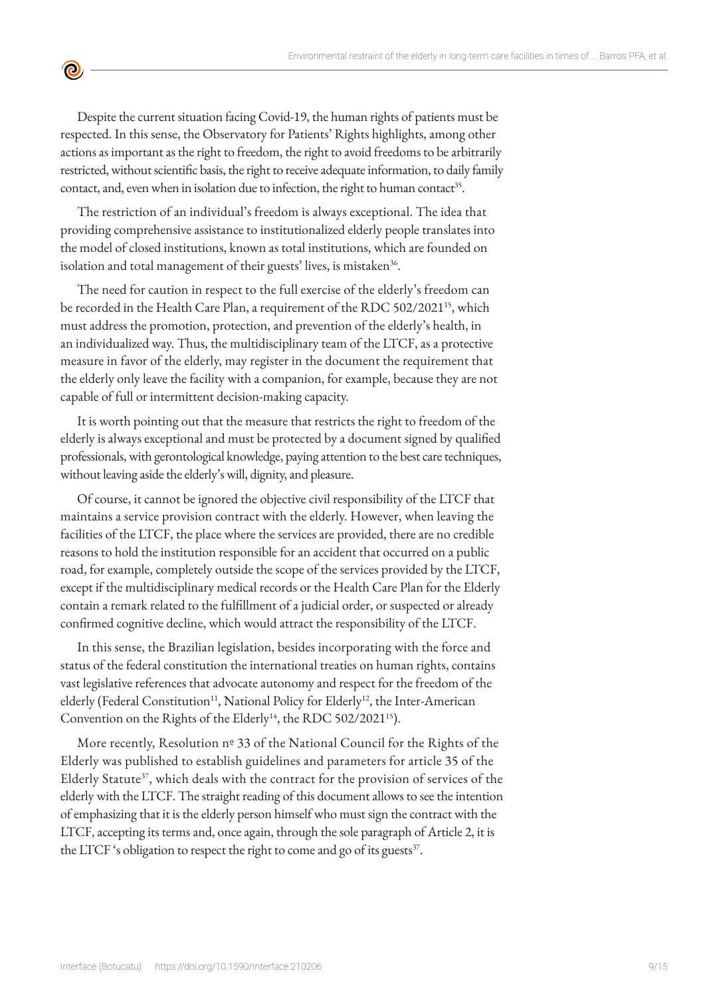Despite the current situation facing Covid-19, the human rights of patients must be respected. In this sense, the Observatory for Patients' Rights highlights, among other actions as important as the right to freedom, the right to avoid freedoms to be arbitrarily restricted, without scientific basis, the right to receive adequate information, to daily family contact, and, even when in isolation due to infection, the right to human contact<sup>35</sup>.

<u>ල</u>

The restriction of an individual's freedom is always exceptional. The idea that providing comprehensive assistance to institutionalized elderly people translates into the model of closed institutions, known as total institutions, which are founded on isolation and total management of their guests' lives, is mistaken<sup>36</sup>.

The need for caution in respect to the full exercise of the elderly's freedom can be recorded in the Health Care Plan, a requirement of the RDC 502/2021<sup>15</sup>, which must address the promotion, protection, and prevention of the elderly's health, in an individualized way. Thus, the multidisciplinary team of the LTCF, as a protective measure in favor of the elderly, may register in the document the requirement that the elderly only leave the facility with a companion, for example, because they are not capable of full or intermittent decision-making capacity.

It is worth pointing out that the measure that restricts the right to freedom of the elderly is always exceptional and must be protected by a document signed by qualified professionals, with gerontological knowledge, paying attention to the best care techniques, without leaving aside the elderly's will, dignity, and pleasure.

Of course, it cannot be ignored the objective civil responsibility of the LTCF that maintains a service provision contract with the elderly. However, when leaving the facilities of the LTCF, the place where the services are provided, there are no credible reasons to hold the institution responsible for an accident that occurred on a public road, for example, completely outside the scope of the services provided by the LTCF, except if the multidisciplinary medical records or the Health Care Plan for the Elderly contain a remark related to the fulfillment of a judicial order, or suspected or already confirmed cognitive decline, which would attract the responsibility of the LTCF.

In this sense, the Brazilian legislation, besides incorporating with the force and status of the federal constitution the international treaties on human rights, contains vast legislative references that advocate autonomy and respect for the freedom of the elderly (Federal Constitution<sup>11</sup>, National Policy for Elderly<sup>12</sup>, the Inter-American Convention on the Rights of the Elderly<sup>14</sup>, the RDC 502/2021<sup>15</sup>).

More recently, Resolution nº 33 of the National Council for the Rights of the Elderly was published to establish guidelines and parameters for article 35 of the Elderly Statute<sup>37</sup>, which deals with the contract for the provision of services of the elderly with the LTCF. The straight reading of this document allows to see the intention of emphasizing that it is the elderly person himself who must sign the contract with the LTCF, accepting its terms and, once again, through the sole paragraph of Article 2, it is the LTCF's obligation to respect the right to come and go of its guests<sup>37</sup>.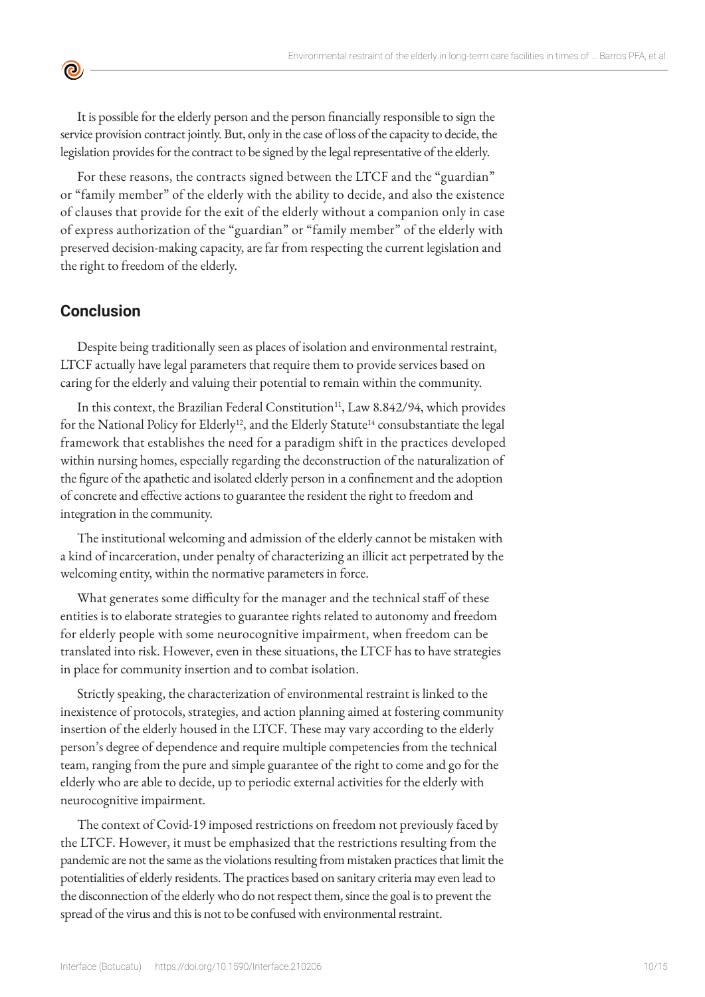It is possible for the elderly person and the person financially responsible to sign the service provision contract jointly. But, only in the case of loss of the capacity to decide, the legislation provides for the contract to be signed by the legal representative of the elderly.

For these reasons, the contracts signed between the LTCF and the "guardian" or "family member" of the elderly with the ability to decide, and also the existence of clauses that provide for the exit of the elderly without a companion only in case of express authorization of the "guardian" or "family member" of the elderly with preserved decision-making capacity, are far from respecting the current legislation and the right to freedom of the elderly.

# **Conclusion**

 $\bullet$ 

Despite being traditionally seen as places of isolation and environmental restraint, LTCF actually have legal parameters that require them to provide services based on caring for the elderly and valuing their potential to remain within the community.

In this context, the Brazilian Federal Constitution<sup>11</sup>, Law 8.842/94, which provides for the National Policy for Elderly<sup>12</sup>, and the Elderly Statute<sup>14</sup> consubstantiate the legal framework that establishes the need for a paradigm shift in the practices developed within nursing homes, especially regarding the deconstruction of the naturalization of the figure of the apathetic and isolated elderly person in a confinement and the adoption of concrete and effective actions to guarantee the resident the right to freedom and integration in the community.

The institutional welcoming and admission of the elderly cannot be mistaken with a kind of incarceration, under penalty of characterizing an illicit act perpetrated by the welcoming entity, within the normative parameters in force.

What generates some difficulty for the manager and the technical staff of these entities is to elaborate strategies to guarantee rights related to autonomy and freedom for elderly people with some neurocognitive impairment, when freedom can be translated into risk. However, even in these situations, the LTCF has to have strategies in place for community insertion and to combat isolation.

Strictly speaking, the characterization of environmental restraint is linked to the inexistence of protocols, strategies, and action planning aimed at fostering community insertion of the elderly housed in the LTCF. These may vary according to the elderly person's degree of dependence and require multiple competencies from the technical team, ranging from the pure and simple guarantee of the right to come and go for the elderly who are able to decide, up to periodic external activities for the elderly with neurocognitive impairment.

The context of Covid-19 imposed restrictions on freedom not previously faced by the LTCF. However, it must be emphasized that the restrictions resulting from the pandemic are not the same as the violations resulting from mistaken practices that limit the potentialities of elderly residents. The practices based on sanitary criteria may even lead to the disconnection of the elderly who do not respect them, since the goal is to prevent the spread of the virus and this is not to be confused with environmental restraint.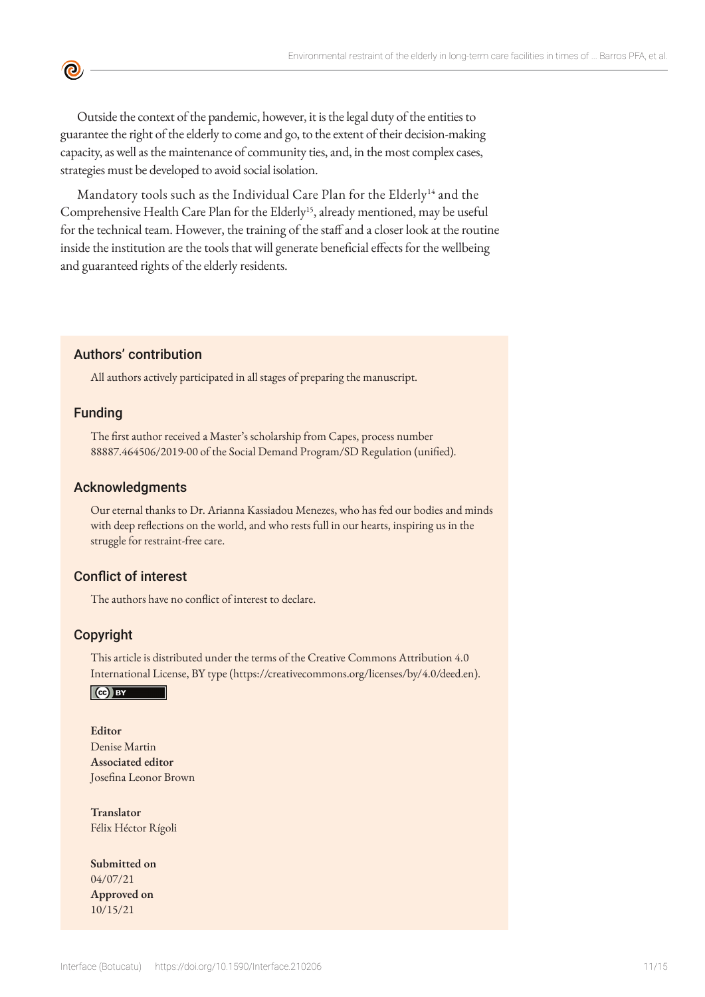Outside the context of the pandemic, however, it is the legal duty of the entities to guarantee the right of the elderly to come and go, to the extent of their decision-making capacity, as well as the maintenance of community ties, and, in the most complex cases, strategies must be developed to avoid social isolation.

Mandatory tools such as the Individual Care Plan for the Elderly<sup>14</sup> and the Comprehensive Health Care Plan for the Elderly<sup>15</sup>, already mentioned, may be useful for the technical team. However, the training of the staff and a closer look at the routine inside the institution are the tools that will generate beneficial effects for the wellbeing and guaranteed rights of the elderly residents.

#### Authors' contribution

All authors actively participated in all stages of preparing the manuscript.

#### Funding

ල

The first author received a Master's scholarship from Capes, process number 88887.464506/2019-00 of the Social Demand Program/SD Regulation (unified).

#### Acknowledgments

Our eternal thanks to Dr. Arianna Kassiadou Menezes, who has fed our bodies and minds with deep reflections on the world, and who rests full in our hearts, inspiring us in the struggle for restraint-free care.

#### Conflict of interest

The authors have no conflict of interest to declare.

#### Copyright

This article is distributed under the terms of the Creative Commons Attribution 4.0 International License, BY type (https://creativecommons.org/licenses/by/4.0/deed.en).

#### $\vert$  (cc) BY

### **Editor** Denise Martin

**Associated editor** Josefina Leonor Brown

**Translator** Félix Héctor Rígoli

**Submitted on** 04/07/21 **Approved on** 10/15/21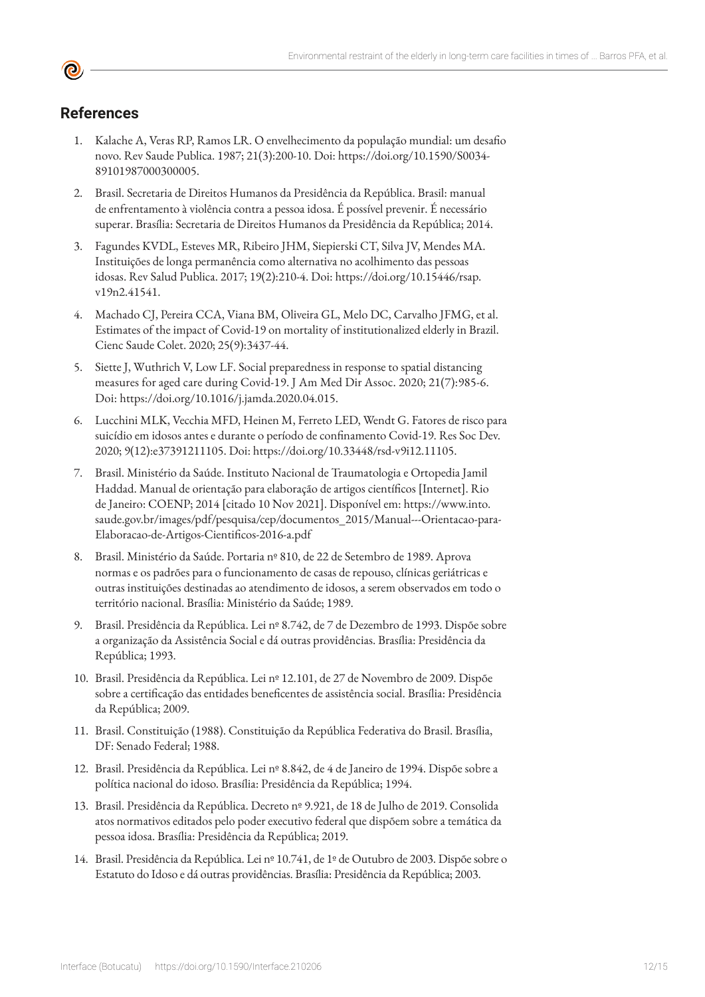# **References**

- 1. Kalache A, Veras RP, Ramos LR. O envelhecimento da população mundial: um desafio novo. Rev Saude Publica. 1987; 21(3):200-10. Doi: https://doi.org/10.1590/S0034- 89101987000300005.
- 2. Brasil. Secretaria de Direitos Humanos da Presidência da República. Brasil: manual de enfrentamento à violência contra a pessoa idosa. É possível prevenir. É necessário superar. Brasília: Secretaria de Direitos Humanos da Presidência da República; 2014.
- 3. Fagundes KVDL, Esteves MR, Ribeiro JHM, Siepierski CT, Silva JV, Mendes MA. Instituições de longa permanência como alternativa no acolhimento das pessoas idosas. Rev Salud Publica. 2017; 19(2):210-4. Doi: https://doi.org/10.15446/rsap. v19n2.41541.
- 4. Machado CJ, Pereira CCA, Viana BM, Oliveira GL, Melo DC, Carvalho JFMG, et al. Estimates of the impact of Covid-19 on mortality of institutionalized elderly in Brazil. Cienc Saude Colet. 2020; 25(9):3437-44.
- 5. Siette J, Wuthrich V, Low LF. Social preparedness in response to spatial distancing measures for aged care during Covid-19. J Am Med Dir Assoc. 2020; 21(7):985-6. Doi: https://doi.org/10.1016/j.jamda.2020.04.015.
- 6. Lucchini MLK, Vecchia MFD, Heinen M, Ferreto LED, Wendt G. Fatores de risco para suicídio em idosos antes e durante o período de confinamento Covid-19. Res Soc Dev. 2020; 9(12):e37391211105. Doi: https://doi.org/10.33448/rsd-v9i12.11105.
- 7. Brasil. Ministério da Saúde. Instituto Nacional de Traumatologia e Ortopedia Jamil Haddad. Manual de orientação para elaboração de artigos científicos [Internet]. Rio de Janeiro: COENP; 2014 [citado 10 Nov 2021]. Disponível em: https://www.into. saude.gov.br/images/pdf/pesquisa/cep/documentos\_2015/Manual---Orientacao-para-Elaboracao-de-Artigos-Cientificos-2016-a.pdf
- 8. Brasil. Ministério da Saúde. Portaria nº 810, de 22 de Setembro de 1989. Aprova normas e os padrões para o funcionamento de casas de repouso, clínicas geriátricas e outras instituições destinadas ao atendimento de idosos, a serem observados em todo o território nacional. Brasília: Ministério da Saúde; 1989.
- 9. Brasil. Presidência da República. Lei nº 8.742, de 7 de Dezembro de 1993. Dispõe sobre a organização da Assistência Social e dá outras providências. Brasília: Presidência da República; 1993.
- 10. Brasil. Presidência da República. Lei nº 12.101, de 27 de Novembro de 2009. Dispõe sobre a certificação das entidades beneficentes de assistência social. Brasília: Presidência da República; 2009.
- 11. Brasil. Constituição (1988). Constituição da República Federativa do Brasil. Brasília, DF: Senado Federal; 1988.
- 12. Brasil. Presidência da República. Lei nº 8.842, de 4 de Janeiro de 1994. Dispõe sobre a política nacional do idoso. Brasília: Presidência da República; 1994.
- 13. Brasil. Presidência da República. Decreto nº 9.921, de 18 de Julho de 2019. Consolida atos normativos editados pelo poder executivo federal que dispõem sobre a temática da pessoa idosa. Brasília: Presidência da República; 2019.
- 14. Brasil. Presidência da República. Lei nº 10.741, de 1º de Outubro de 2003. Dispõe sobre o Estatuto do Idoso e dá outras providências. Brasília: Presidência da República; 2003.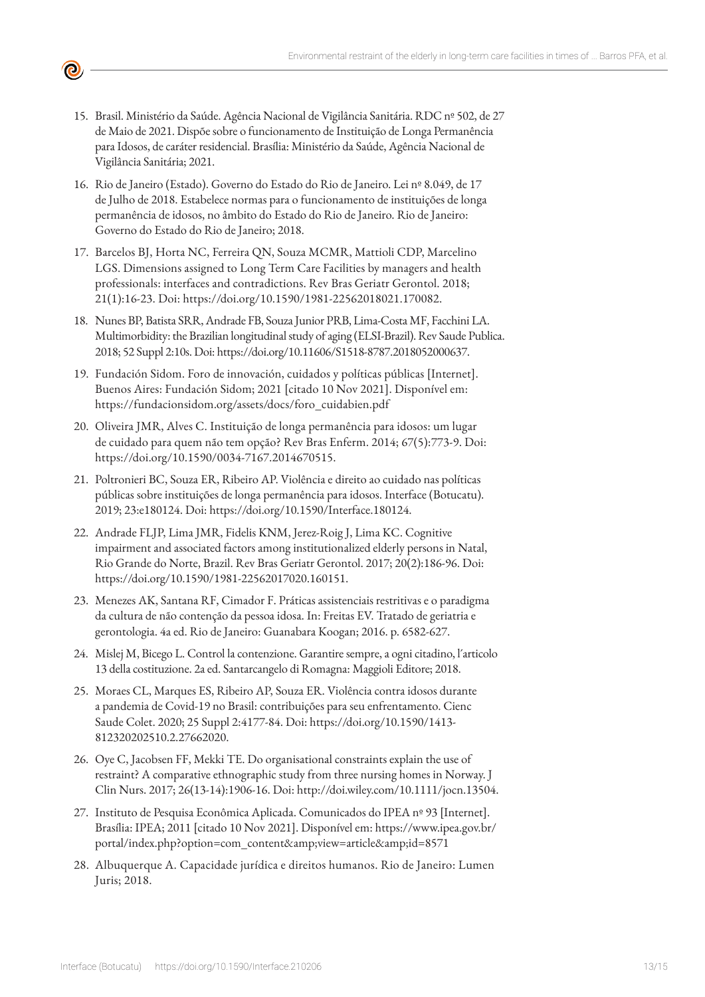

- 15. Brasil. Ministério da Saúde. Agência Nacional de Vigilância Sanitária. RDC nº 502, de 27 de Maio de 2021. Dispõe sobre o funcionamento de Instituição de Longa Permanência para Idosos, de caráter residencial. Brasília: Ministério da Saúde, Agência Nacional de Vigilância Sanitária; 2021.
- 16. Rio de Janeiro (Estado). Governo do Estado do Rio de Janeiro. Lei nº 8.049, de 17 de Julho de 2018. Estabelece normas para o funcionamento de instituições de longa permanência de idosos, no âmbito do Estado do Rio de Janeiro. Rio de Janeiro: Governo do Estado do Rio de Janeiro; 2018.
- 17. Barcelos BJ, Horta NC, Ferreira QN, Souza MCMR, Mattioli CDP, Marcelino LGS. Dimensions assigned to Long Term Care Facilities by managers and health professionals: interfaces and contradictions. Rev Bras Geriatr Gerontol. 2018; 21(1):16-23. Doi: https://doi.org/10.1590/1981-22562018021.170082.
- 18. Nunes BP, Batista SRR, Andrade FB, Souza Junior PRB, Lima-Costa MF, Facchini LA. Multimorbidity: the Brazilian longitudinal study of aging (ELSI-Brazil). Rev Saude Publica. 2018; 52 Suppl 2:10s. Doi: https://doi.org/10.11606/S1518-8787.2018052000637.
- 19. Fundación Sidom. Foro de innovación, cuidados y políticas públicas [Internet]. Buenos Aires: Fundación Sidom; 2021 [citado 10 Nov 2021]. Disponível em: https://fundacionsidom.org/assets/docs/foro\_cuidabien.pdf
- 20. Oliveira JMR, Alves C. Instituição de longa permanência para idosos: um lugar de cuidado para quem não tem opção? Rev Bras Enferm. 2014; 67(5):773-9. Doi: https://doi.org/10.1590/0034-7167.2014670515.
- 21. Poltronieri BC, Souza ER, Ribeiro AP. Violência e direito ao cuidado nas políticas públicas sobre instituições de longa permanência para idosos. Interface (Botucatu). 2019; 23:e180124. Doi: https://doi.org/10.1590/Interface.180124.
- 22. Andrade FLJP, Lima JMR, Fidelis KNM, Jerez-Roig J, Lima KC. Cognitive impairment and associated factors among institutionalized elderly persons in Natal, Rio Grande do Norte, Brazil. Rev Bras Geriatr Gerontol. 2017; 20(2):186-96. Doi: https://doi.org/10.1590/1981-22562017020.160151.
- 23. Menezes AK, Santana RF, Cimador F. Práticas assistenciais restritivas e o paradigma da cultura de não contenção da pessoa idosa. In: Freitas EV. Tratado de geriatria e gerontologia. 4a ed. Rio de Janeiro: Guanabara Koogan; 2016. p. 6582-627.
- 24. Mislej M, Bicego L. Control la contenzione. Garantire sempre, a ogni citadino, l´articolo 13 della costituzione. 2a ed. Santarcangelo di Romagna: Maggioli Editore; 2018.
- 25. Moraes CL, Marques ES, Ribeiro AP, Souza ER. Violência contra idosos durante a pandemia de Covid-19 no Brasil: contribuições para seu enfrentamento. Cienc Saude Colet. 2020; 25 Suppl 2:4177-84. Doi: https://doi.org/10.1590/1413- 812320202510.2.27662020.
- 26. Oye C, Jacobsen FF, Mekki TE. Do organisational constraints explain the use of restraint? A comparative ethnographic study from three nursing homes in Norway. J Clin Nurs. 2017; 26(13-14):1906-16. Doi: http://doi.wiley.com/10.1111/jocn.13504.
- 27. Instituto de Pesquisa Econômica Aplicada. Comunicados do IPEA nº 93 [Internet]. Brasília: IPEA; 2011 [citado 10 Nov 2021]. Disponível em: https://www.ipea.gov.br/ portal/index.php?option=com\_content&view=article&id=8571
- 28. Albuquerque A. Capacidade jurídica e direitos humanos. Rio de Janeiro: Lumen Juris; 2018.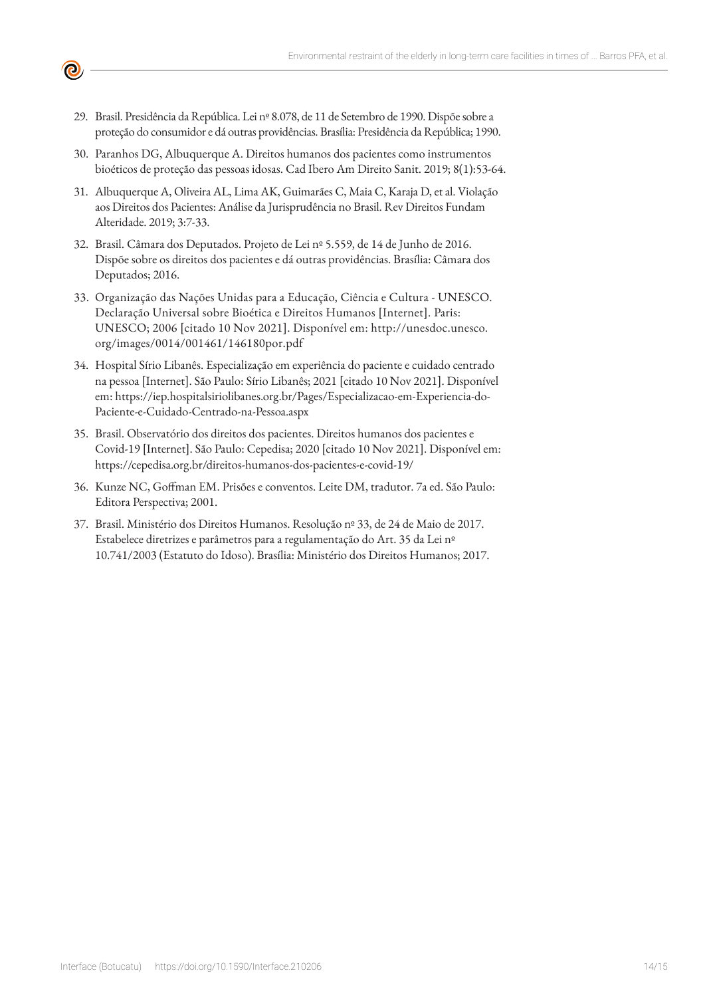29. Brasil. Presidência da República. Lei nº 8.078, de 11 de Setembro de 1990. Dispõe sobre a proteção do consumidor e dá outras providências. Brasília: Presidência da República; 1990.

**©** 

- 30. Paranhos DG, Albuquerque A. Direitos humanos dos pacientes como instrumentos bioéticos de proteção das pessoas idosas. Cad Ibero Am Direito Sanit. 2019; 8(1):53-64.
- 31. Albuquerque A, Oliveira AL, Lima AK, Guimarães C, Maia C, Karaja D, et al. Violação aos Direitos dos Pacientes: Análise da Jurisprudência no Brasil. Rev Direitos Fundam Alteridade. 2019; 3:7-33.
- 32. Brasil. Câmara dos Deputados. Projeto de Lei nº 5.559, de 14 de Junho de 2016. Dispõe sobre os direitos dos pacientes e dá outras providências. Brasília: Câmara dos Deputados; 2016.
- 33. Organização das Nações Unidas para a Educação, Ciência e Cultura UNESCO. Declaração Universal sobre Bioética e Direitos Humanos [Internet]. Paris: UNESCO; 2006 [citado 10 Nov 2021]. Disponível em: http://unesdoc.unesco. org/images/0014/001461/146180por.pdf
- 34. Hospital Sírio Libanês. Especialização em experiência do paciente e cuidado centrado na pessoa [Internet]. São Paulo: Sírio Libanês; 2021 [citado 10 Nov 2021]. Disponível em: https://iep.hospitalsiriolibanes.org.br/Pages/Especializacao-em-Experiencia-do-Paciente-e-Cuidado-Centrado-na-Pessoa.aspx
- 35. Brasil. Observatório dos direitos dos pacientes. Direitos humanos dos pacientes e Covid-19 [Internet]. São Paulo: Cepedisa; 2020 [citado 10 Nov 2021]. Disponível em: https://cepedisa.org.br/direitos-humanos-dos-pacientes-e-covid-19/
- 36. Kunze NC, Goffman EM. Prisões e conventos. Leite DM, tradutor. 7a ed. São Paulo: Editora Perspectiva; 2001.
- 37. Brasil. Ministério dos Direitos Humanos. Resolução nº 33, de 24 de Maio de 2017. Estabelece diretrizes e parâmetros para a regulamentação do Art. 35 da Lei nº 10.741/2003 (Estatuto do Idoso). Brasília: Ministério dos Direitos Humanos; 2017.